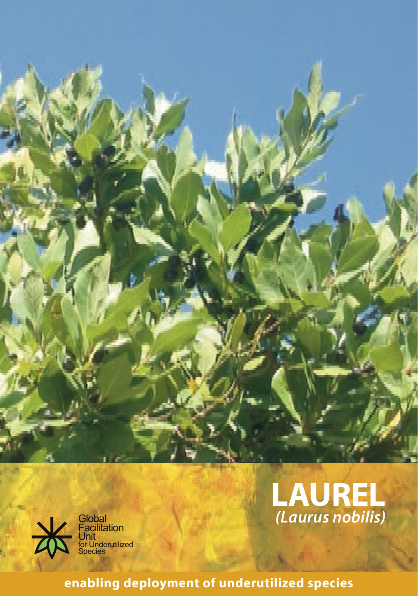





**enabling deployment of underutilized species**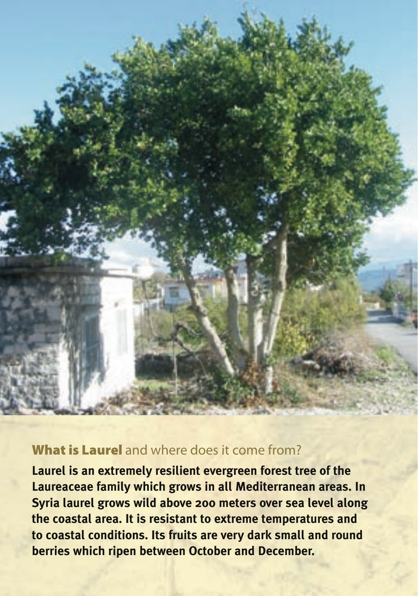## What is Laurel and where does it come from?

**Laurel is an extremely resilient evergreen forest tree of the Laureaceae family which grows in all Mediterranean areas. In Syria laurel grows wild above 200 meters over sea level along the coastal area. It is resistant to extreme temperatures and to coastal conditions. Its fruits are very dark small and round berries which ripen between October and December.**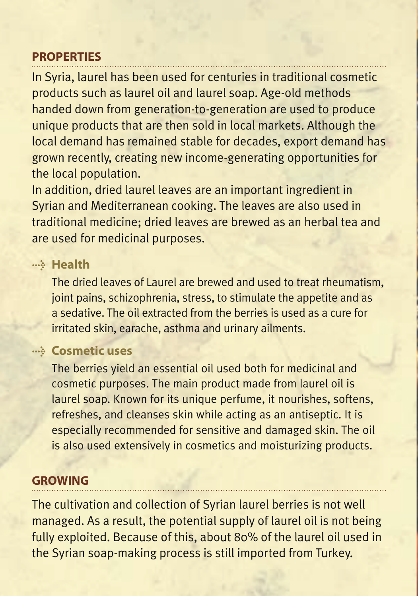#### **PROPERTIES**

In Syria, laurel has been used for centuries in traditional cosmetic products such as laurel oil and laurel soap. Age-old methods handed down from generation-to-generation are used to produce unique products that are then sold in local markets. Although the local demand has remained stable for decades, export demand has grown recently, creating new income-generating opportunities for the local population.

In addition, dried laurel leaves are an important ingredient in Syrian and Mediterranean cooking. The leaves are also used in traditional medicine; dried leaves are brewed as an herbal tea and are used for medicinal purposes.

#### **> Health**

The dried leaves of Laurel are brewed and used to treat rheumatism, joint pains, schizophrenia, stress, to stimulate the appetite and as a sedative. The oil extracted from the berries is used as a cure for irritated skin, earache, asthma and urinary ailments.

## **> Cosmetic uses**

The berries yield an essential oil used both for medicinal and cosmetic purposes. The main product made from laurel oil is laurel soap. Known for its unique perfume, it nourishes, softens, refreshes, and cleanses skin while acting as an antiseptic. It is especially recommended for sensitive and damaged skin. The oil is also used extensively in cosmetics and moisturizing products.

### **GROWING**

The cultivation and collection of Syrian laurel berries is not well managed. As a result, the potential supply of laurel oil is not being fully exploited. Because of this, about 80% of the laurel oil used in the Syrian soap-making process is still imported from Turkey.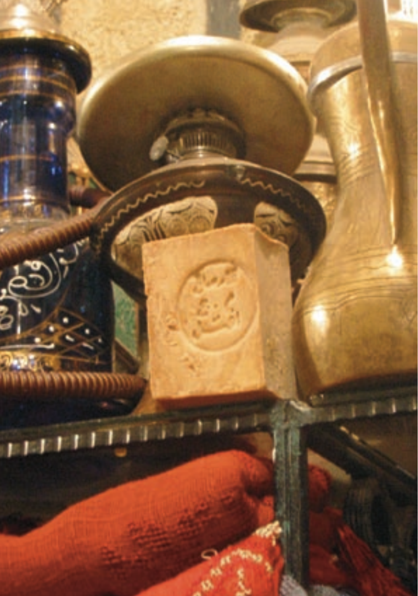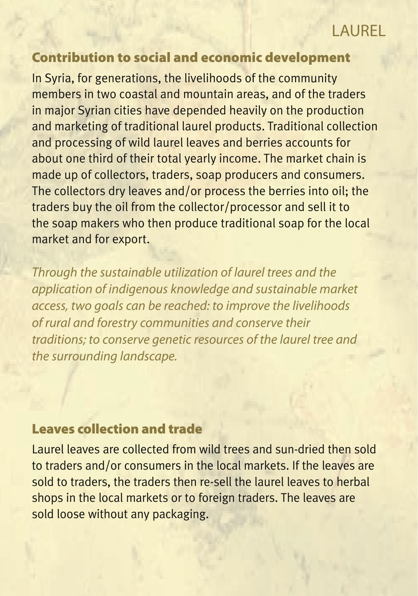# LAUREL

### Contribution to social and economic development

In Syria, for generations, the livelihoods of the community members in two coastal and mountain areas, and of the traders in major Syrian cities have depended heavily on the production and marketing of traditional laurel products. Traditional collection and processing of wild laurel leaves and berries accounts for about one third of their total yearly income. The market chain is made up of collectors, traders, soap producers and consumers. The collectors dry leaves and/or process the berries into oil; the traders buy the oil from the collector/processor and sell it to the soap makers who then produce traditional soap for the local market and for export.

*Through the sustainable utilization of laurel trees and the application of indigenous knowledge and sustainable market access, two goals can be reached: to improve the livelihoods of rural and forestry communities and conserve their traditions; to conserve genetic resources of the laurel tree and the surrounding landscape.* 

## Leaves collection and trade

Laurel leaves are collected from wild trees and sun-dried then sold to traders and/or consumers in the local markets. If the leaves are sold to traders, the traders then re-sell the laurel leaves to herbal shops in the local markets or to foreign traders. The leaves are sold loose without any packaging.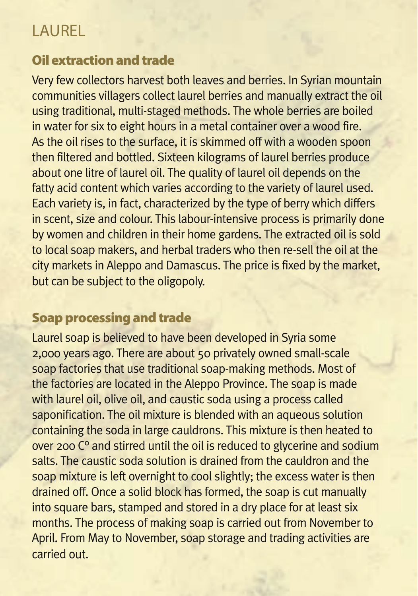# LAUREL

## Oil extraction and trade

Very few collectors harvest both leaves and berries. In Syrian mountain communities villagers collect laurel berries and manually extract the oil using traditional, multi-staged methods. The whole berries are boiled in water for six to eight hours in a metal container over a wood fire. As the oil rises to the surface, it is skimmed off with a wooden spoon then filtered and bottled. Sixteen kilograms of laurel berries produce about one litre of laurel oil. The quality of laurel oil depends on the fatty acid content which varies according to the variety of laurel used. Each variety is, in fact, characterized by the type of berry which differs in scent, size and colour. This labour-intensive process is primarily done by women and children in their home gardens. The extracted oil is sold to local soap makers, and herbal traders who then re-sell the oil at the city markets in Aleppo and Damascus. The price is fixed by the market, but can be subject to the oligopoly.

## Soap processing and trade

Laurel soap is believed to have been developed in Syria some 2,000 years ago. There are about 50 privately owned small-scale soap factories that use traditional soap-making methods. Most of the factories are located in the Aleppo Province. The soap is made with laurel oil, olive oil, and caustic soda using a process called saponification. The oil mixture is blended with an aqueous solution containing the soda in large cauldrons. This mixture is then heated to over 200 C° and stirred until the oil is reduced to glycerine and sodium salts. The caustic soda solution is drained from the cauldron and the soap mixture is left overnight to cool slightly; the excess water is then drained off. Once a solid block has formed, the soap is cut manually into square bars, stamped and stored in a dry place for at least six months. The process of making soap is carried out from November to April. From May to November, soap storage and trading activities are carried out.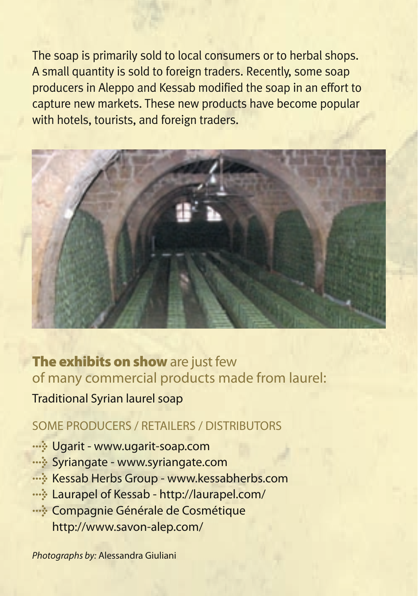The soap is primarily sold to local consumers or to herbal shops. A small quantity is sold to foreign traders. Recently, some soap producers in Aleppo and Kessab modified the soap in an effort to capture new markets. These new products have become popular with hotels, tourists, and foreign traders.



## The exhibits on show are just few of many commercial products made from laurel:

### Traditional Syrian laurel soap

### SOME PRODUCERS / RETAILERS / DISTRIBUTORS

- **>** Ugarit www.ugarit-soap.com
- **•••** Syriangate www.syriangate.com
- **A** Kessab Herbs Group www.kessabherbs.com
- **>** Laurapel of Kessab http://laurapel.com/
- **>** Compagnie Générale de Cosmétique http://www.savon-alep.com/

*Photographs by:* Alessandra Giuliani